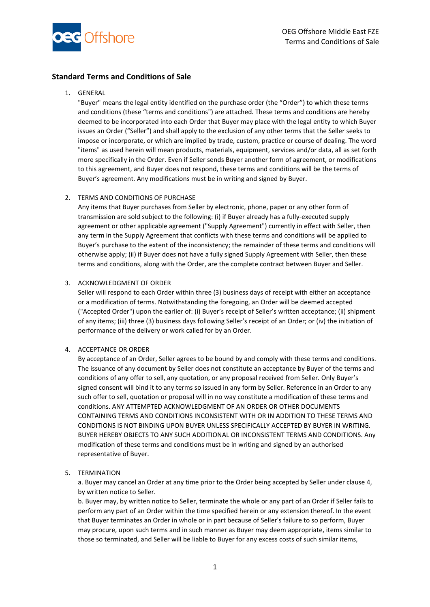

# **Standard Terms and Conditions of Sale**

## 1. GENERAL

"Buyer" means the legal entity identified on the purchase order (the "Order") to which these terms and conditions (these "terms and conditions") are attached. These terms and conditions are hereby deemed to be incorporated into each Order that Buyer may place with the legal entity to which Buyer issues an Order ("Seller") and shall apply to the exclusion of any other terms that the Seller seeks to impose or incorporate, or which are implied by trade, custom, practice or course of dealing. The word "items" as used herein will mean products, materials, equipment, services and/or data, all as set forth more specifically in the Order. Even if Seller sends Buyer another form of agreement, or modifications to this agreement, and Buyer does not respond, these terms and conditions will be the terms of Buyer's agreement. Any modifications must be in writing and signed by Buyer.

## 2. TERMS AND CONDITIONS OF PURCHASE

Any items that Buyer purchases from Seller by electronic, phone, paper or any other form of transmission are sold subject to the following: (i) if Buyer already has a fully-executed supply agreement or other applicable agreement ("Supply Agreement") currently in effect with Seller, then any term in the Supply Agreement that conflicts with these terms and conditions will be applied to Buyer's purchase to the extent of the inconsistency; the remainder of these terms and conditions will otherwise apply; (ii) if Buyer does not have a fully signed Supply Agreement with Seller, then these terms and conditions, along with the Order, are the complete contract between Buyer and Seller.

## 3. ACKNOWLEDGMENT OF ORDER

Seller will respond to each Order within three (3) business days of receipt with either an acceptance or a modification of terms. Notwithstanding the foregoing, an Order will be deemed accepted ("Accepted Order") upon the earlier of: (i) Buyer's receipt of Seller's written acceptance; (ii) shipment of any items; (iii) three (3) business days following Seller's receipt of an Order; or (iv) the initiation of performance of the delivery or work called for by an Order.

## 4. ACCEPTANCE OR ORDER

By acceptance of an Order, Seller agrees to be bound by and comply with these terms and conditions. The issuance of any document by Seller does not constitute an acceptance by Buyer of the terms and conditions of any offer to sell, any quotation, or any proposal received from Seller. Only Buyer's signed consent will bind it to any terms so issued in any form by Seller. Reference in an Order to any such offer to sell, quotation or proposal will in no way constitute a modification of these terms and conditions. ANY ATTEMPTED ACKNOWLEDGMENT OF AN ORDER OR OTHER DOCUMENTS CONTAINING TERMS AND CONDITIONS INCONSISTENT WITH OR IN ADDITION TO THESE TERMS AND CONDITIONS IS NOT BINDING UPON BUYER UNLESS SPECIFICALLY ACCEPTED BY BUYER IN WRITING. BUYER HEREBY OBJECTS TO ANY SUCH ADDITIONAL OR INCONSISTENT TERMS AND CONDITIONS. Any modification of these terms and conditions must be in writing and signed by an authorised representative of Buyer.

## 5. TERMINATION

a. Buyer may cancel an Order at any time prior to the Order being accepted by Seller under clause 4, by written notice to Seller.

b. Buyer may, by written notice to Seller, terminate the whole or any part of an Order if Seller fails to perform any part of an Order within the time specified herein or any extension thereof. In the event that Buyer terminates an Order in whole or in part because of Seller's failure to so perform, Buyer may procure, upon such terms and in such manner as Buyer may deem appropriate, items similar to those so terminated, and Seller will be liable to Buyer for any excess costs of such similar items,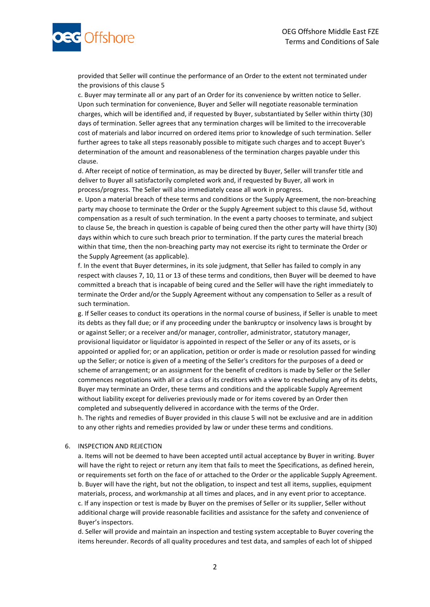

provided that Seller will continue the performance of an Order to the extent not terminated under the provisions of this clause 5

c. Buyer may terminate all or any part of an Order for its convenience by written notice to Seller. Upon such termination for convenience, Buyer and Seller will negotiate reasonable termination charges, which will be identified and, if requested by Buyer, substantiated by Seller within thirty (30) days of termination. Seller agrees that any termination charges will be limited to the irrecoverable cost of materials and labor incurred on ordered items prior to knowledge of such termination. Seller further agrees to take all steps reasonably possible to mitigate such charges and to accept Buyer's determination of the amount and reasonableness of the termination charges payable under this clause.

d. After receipt of notice of termination, as may be directed by Buyer, Seller will transfer title and deliver to Buyer all satisfactorily completed work and, if requested by Buyer, all work in process/progress. The Seller will also immediately cease all work in progress.

e. Upon a material breach of these terms and conditions or the Supply Agreement, the non-breaching party may choose to terminate the Order or the Supply Agreement subject to this clause 5d, without compensation as a result of such termination. In the event a party chooses to terminate, and subject to clause 5e, the breach in question is capable of being cured then the other party will have thirty (30) days within which to cure such breach prior to termination. If the party cures the material breach within that time, then the non-breaching party may not exercise its right to terminate the Order or the Supply Agreement (as applicable).

f. In the event that Buyer determines, in its sole judgment, that Seller has failed to comply in any respect with clauses 7, 10, 11 or 13 of these terms and conditions, then Buyer will be deemed to have committed a breach that is incapable of being cured and the Seller will have the right immediately to terminate the Order and/or the Supply Agreement without any compensation to Seller as a result of such termination.

g. If Seller ceases to conduct its operations in the normal course of business, if Seller is unable to meet its debts as they fall due; or if any proceeding under the bankruptcy or insolvency laws is brought by or against Seller; or a receiver and/or manager, controller, administrator, statutory manager, provisional liquidator or liquidator is appointed in respect of the Seller or any of its assets, or is appointed or applied for; or an application, petition or order is made or resolution passed for winding up the Seller; or notice is given of a meeting of the Seller's creditors for the purposes of a deed or scheme of arrangement; or an assignment for the benefit of creditors is made by Seller or the Seller commences negotiations with all or a class of its creditors with a view to rescheduling any of its debts, Buyer may terminate an Order, these terms and conditions and the applicable Supply Agreement without liability except for deliveries previously made or for items covered by an Order then completed and subsequently delivered in accordance with the terms of the Order.

h. The rights and remedies of Buyer provided in this clause 5 will not be exclusive and are in addition to any other rights and remedies provided by law or under these terms and conditions.

## 6. INSPECTION AND REJECTION

a. Items will not be deemed to have been accepted until actual acceptance by Buyer in writing. Buyer will have the right to reject or return any item that fails to meet the Specifications, as defined herein, or requirements set forth on the face of or attached to the Order or the applicable Supply Agreement. b. Buyer will have the right, but not the obligation, to inspect and test all items, supplies, equipment materials, process, and workmanship at all times and places, and in any event prior to acceptance. c. If any inspection or test is made by Buyer on the premises of Seller or its supplier, Seller without additional charge will provide reasonable facilities and assistance for the safety and convenience of Buyer's inspectors.

d. Seller will provide and maintain an inspection and testing system acceptable to Buyer covering the items hereunder. Records of all quality procedures and test data, and samples of each lot of shipped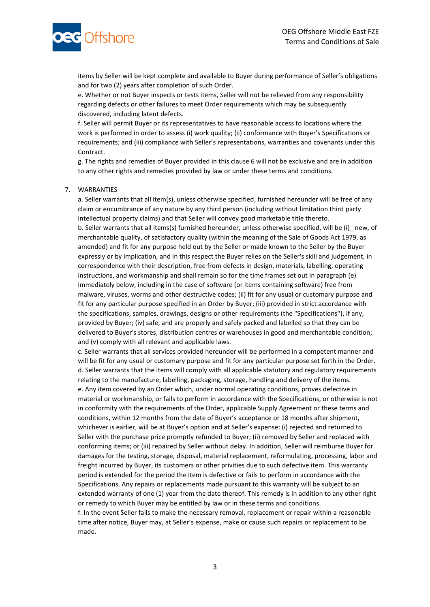

items by Seller will be kept complete and available to Buyer during performance of Seller's obligations and for two (2) years after completion of such Order.

e. Whether or not Buyer inspects or tests items, Seller will not be relieved from any responsibility regarding defects or other failures to meet Order requirements which may be subsequently discovered, including latent defects.

f. Seller will permit Buyer or its representatives to have reasonable access to locations where the work is performed in order to assess (i) work quality; (ii) conformance with Buyer's Specifications or requirements; and (iii) compliance with Seller's representations, warranties and covenants under this Contract.

g. The rights and remedies of Buyer provided in this clause 6 will not be exclusive and are in addition to any other rights and remedies provided by law or under these terms and conditions.

#### 7. WARRANTIES

a. Seller warrants that all item(s), unless otherwise specified, furnished hereunder will be free of any claim or encumbrance of any nature by any third person (including without limitation third party intellectual property claims) and that Seller will convey good marketable title thereto. b. Seller warrants that all items(s) furnished hereunder, unless otherwise specified, will be (i)\_ new, of merchantable quality, of satisfactory quality (within the meaning of the Sale of Goods Act 1979, as amended) and fit for any purpose held out by the Seller or made known to the Seller by the Buyer expressly or by implication, and in this respect the Buyer relies on the Seller's skill and judgement, in correspondence with their description, free from defects in design, materials, labelling, operating instructions, and workmanship and shall remain so for the time frames set out in paragraph (e) immediately below, including in the case of software (or items containing software) free from malware, viruses, worms and other destructive codes; (ii) fit for any usual or customary purpose and fit for any particular purpose specified in an Order by Buyer; (iii) provided in strict accordance with the specifications, samples, drawings, designs or other requirements (the "Specifications"), if any, provided by Buyer; (iv) safe, and are properly and safely packed and labelled so that they can be delivered to Buyer's stores, distribution centres or warehouses in good and merchantable condition; and (v) comply with all relevant and applicable laws.

c. Seller warrants that all services provided hereunder will be performed in a competent manner and will be fit for any usual or customary purpose and fit for any particular purpose set forth in the Order. d. Seller warrants that the items will comply with all applicable statutory and regulatory requirements relating to the manufacture, labelling, packaging, storage, handling and delivery of the items. e. Any item covered by an Order which, under normal operating conditions, proves defective in material or workmanship, or fails to perform in accordance with the Specifications, or otherwise is not in conformity with the requirements of the Order, applicable Supply Agreement or these terms and conditions, within 12 months from the date of Buyer's acceptance or 18 months after shipment, whichever is earlier, will be at Buyer's option and at Seller's expense: (i) rejected and returned to Seller with the purchase price promptly refunded to Buyer; (ii) removed by Seller and replaced with conforming items; or (iii) repaired by Seller without delay. In addition, Seller will reimburse Buyer for damages for the testing, storage, disposal, material replacement, reformulating, processing, labor and freight incurred by Buyer, its customers or other privities due to such defective item. This warranty period is extended for the period the item is defective or fails to perform in accordance with the Specifications. Any repairs or replacements made pursuant to this warranty will be subject to an extended warranty of one (1) year from the date thereof. This remedy is in addition to any other right or remedy to which Buyer may be entitled by law or in these terms and conditions.

f. In the event Seller fails to make the necessary removal, replacement or repair within a reasonable time after notice, Buyer may, at Seller's expense, make or cause such repairs or replacement to be made.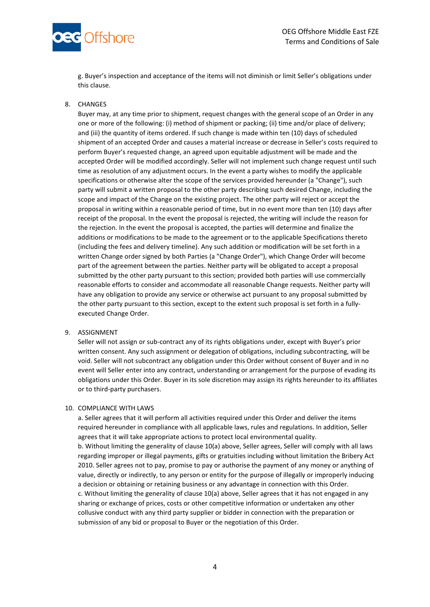

g. Buyer's inspection and acceptance of the items will not diminish or limit Seller's obligations under this clause.

## 8. CHANGES

Buyer may, at any time prior to shipment, request changes with the general scope of an Order in any one or more of the following: (i) method of shipment or packing; (ii) time and/or place of delivery; and (iii) the quantity of items ordered. If such change is made within ten (10) days of scheduled shipment of an accepted Order and causes a material increase or decrease in Seller's costs required to perform Buyer's requested change, an agreed upon equitable adjustment will be made and the accepted Order will be modified accordingly. Seller will not implement such change request until such time as resolution of any adjustment occurs. In the event a party wishes to modify the applicable specifications or otherwise alter the scope of the services provided hereunder (a "Change"), such party will submit a written proposal to the other party describing such desired Change, including the scope and impact of the Change on the existing project. The other party will reject or accept the proposal in writing within a reasonable period of time, but in no event more than ten (10) days after receipt of the proposal. In the event the proposal is rejected, the writing will include the reason for the rejection. In the event the proposal is accepted, the parties will determine and finalize the additions or modifications to be made to the agreement or to the applicable Specifications thereto (including the fees and delivery timeline). Any such addition or modification will be set forth in a written Change order signed by both Parties (a "Change Order"), which Change Order will become part of the agreement between the parties. Neither party will be obligated to accept a proposal submitted by the other party pursuant to this section; provided both parties will use commercially reasonable efforts to consider and accommodate all reasonable Change requests. Neither party will have any obligation to provide any service or otherwise act pursuant to any proposal submitted by the other party pursuant to this section, except to the extent such proposal is set forth in a fullyexecuted Change Order.

## 9. ASSIGNMENT

Seller will not assign or sub-contract any of its rights obligations under, except with Buyer's prior written consent. Any such assignment or delegation of obligations, including subcontracting, will be void. Seller will not subcontract any obligation under this Order without consent of Buyer and in no event will Seller enter into any contract, understanding or arrangement for the purpose of evading its obligations under this Order. Buyer in its sole discretion may assign its rights hereunder to its affiliates or to third-party purchasers.

#### 10. COMPLIANCE WITH LAWS

a. Seller agrees that it will perform all activities required under this Order and deliver the items required hereunder in compliance with all applicable laws, rules and regulations. In addition, Seller agrees that it will take appropriate actions to protect local environmental quality. b. Without limiting the generality of clause 10(a) above, Seller agrees, Seller will comply with all laws regarding improper or illegal payments, gifts or gratuities including without limitation the Bribery Act 2010. Seller agrees not to pay, promise to pay or authorise the payment of any money or anything of value, directly or indirectly, to any person or entity for the purpose of illegally or improperly inducing a decision or obtaining or retaining business or any advantage in connection with this Order. c. Without limiting the generality of clause 10(a) above, Seller agrees that it has not engaged in any sharing or exchange of prices, costs or other competitive information or undertaken any other collusive conduct with any third party supplier or bidder in connection with the preparation or submission of any bid or proposal to Buyer or the negotiation of this Order.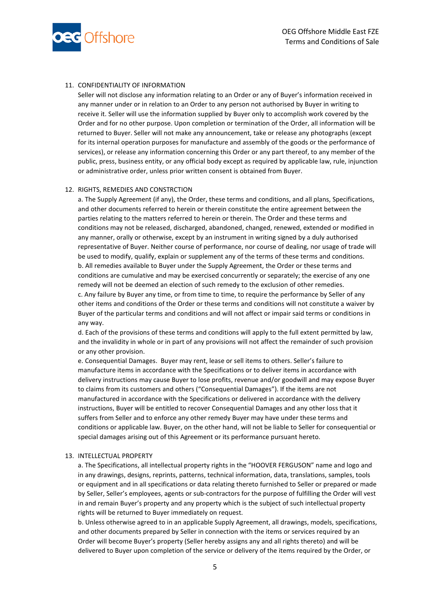

## 11. CONFIDENTIALITY OF INFORMATION

Seller will not disclose any information relating to an Order or any of Buyer's information received in any manner under or in relation to an Order to any person not authorised by Buyer in writing to receive it. Seller will use the information supplied by Buyer only to accomplish work covered by the Order and for no other purpose. Upon completion or termination of the Order, all information will be returned to Buyer. Seller will not make any announcement, take or release any photographs (except for its internal operation purposes for manufacture and assembly of the goods or the performance of services), or release any information concerning this Order or any part thereof, to any member of the public, press, business entity, or any official body except as required by applicable law, rule, injunction or administrative order, unless prior written consent is obtained from Buyer.

#### 12. RIGHTS, REMEDIES AND CONSTRCTION

a. The Supply Agreement (if any), the Order, these terms and conditions, and all plans, Specifications, and other documents referred to herein or therein constitute the entire agreement between the parties relating to the matters referred to herein or therein. The Order and these terms and conditions may not be released, discharged, abandoned, changed, renewed, extended or modified in any manner, orally or otherwise, except by an instrument in writing signed by a duly authorised representative of Buyer. Neither course of performance, nor course of dealing, nor usage of trade will be used to modify, qualify, explain or supplement any of the terms of these terms and conditions. b. All remedies available to Buyer under the Supply Agreement, the Order or these terms and conditions are cumulative and may be exercised concurrently or separately; the exercise of any one remedy will not be deemed an election of such remedy to the exclusion of other remedies. c. Any failure by Buyer any time, or from time to time, to require the performance by Seller of any other items and conditions of the Order or these terms and conditions will not constitute a waiver by Buyer of the particular terms and conditions and will not affect or impair said terms or conditions in any way.

d. Each of the provisions of these terms and conditions will apply to the full extent permitted by law, and the invalidity in whole or in part of any provisions will not affect the remainder of such provision or any other provision.

e. Consequential Damages. Buyer may rent, lease or sell items to others. Seller's failure to manufacture items in accordance with the Specifications or to deliver items in accordance with delivery instructions may cause Buyer to lose profits, revenue and/or goodwill and may expose Buyer to claims from its customers and others ("Consequential Damages"). If the items are not manufactured in accordance with the Specifications or delivered in accordance with the delivery instructions, Buyer will be entitled to recover Consequential Damages and any other loss that it suffers from Seller and to enforce any other remedy Buyer may have under these terms and conditions or applicable law. Buyer, on the other hand, will not be liable to Seller for consequential or special damages arising out of this Agreement or its performance pursuant hereto.

#### 13. INTELLECTUAL PROPERTY

a. The Specifications, all intellectual property rights in the "HOOVER FERGUSON" name and logo and in any drawings, designs, reprints, patterns, technical information, data, translations, samples, tools or equipment and in all specifications or data relating thereto furnished to Seller or prepared or made by Seller, Seller's employees, agents or sub-contractors for the purpose of fulfilling the Order will vest in and remain Buyer's property and any property which is the subject of such intellectual property rights will be returned to Buyer immediately on request.

b. Unless otherwise agreed to in an applicable Supply Agreement, all drawings, models, specifications, and other documents prepared by Seller in connection with the items or services required by an Order will become Buyer's property (Seller hereby assigns any and all rights thereto) and will be delivered to Buyer upon completion of the service or delivery of the items required by the Order, or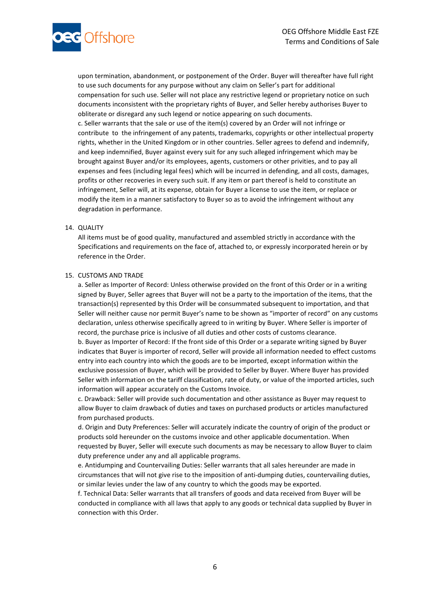

upon termination, abandonment, or postponement of the Order. Buyer will thereafter have full right to use such documents for any purpose without any claim on Seller's part for additional compensation for such use. Seller will not place any restrictive legend or proprietary notice on such documents inconsistent with the proprietary rights of Buyer, and Seller hereby authorises Buyer to obliterate or disregard any such legend or notice appearing on such documents. c. Seller warrants that the sale or use of the item(s) covered by an Order will not infringe or contribute to the infringement of any patents, trademarks, copyrights or other intellectual property rights, whether in the United Kingdom or in other countries. Seller agrees to defend and indemnify, and keep indemnified, Buyer against every suit for any such alleged infringement which may be brought against Buyer and/or its employees, agents, customers or other privities, and to pay all expenses and fees (including legal fees) which will be incurred in defending, and all costs, damages, profits or other recoveries in every such suit. If any item or part thereof is held to constitute an infringement, Seller will, at its expense, obtain for Buyer a license to use the item, or replace or modify the item in a manner satisfactory to Buyer so as to avoid the infringement without any degradation in performance.

## 14. QUALITY

All items must be of good quality, manufactured and assembled strictly in accordance with the Specifications and requirements on the face of, attached to, or expressly incorporated herein or by reference in the Order.

#### 15. CUSTOMS AND TRADE

a. Seller as Importer of Record: Unless otherwise provided on the front of this Order or in a writing signed by Buyer, Seller agrees that Buyer will not be a party to the importation of the items, that the transaction(s) represented by this Order will be consummated subsequent to importation, and that Seller will neither cause nor permit Buyer's name to be shown as "importer of record" on any customs declaration, unless otherwise specifically agreed to in writing by Buyer. Where Seller is importer of record, the purchase price is inclusive of all duties and other costs of customs clearance.

b. Buyer as Importer of Record: If the front side of this Order or a separate writing signed by Buyer indicates that Buyer is importer of record, Seller will provide all information needed to effect customs entry into each country into which the goods are to be imported, except information within the exclusive possession of Buyer, which will be provided to Seller by Buyer. Where Buyer has provided Seller with information on the tariff classification, rate of duty, or value of the imported articles, such information will appear accurately on the Customs Invoice.

c. Drawback: Seller will provide such documentation and other assistance as Buyer may request to allow Buyer to claim drawback of duties and taxes on purchased products or articles manufactured from purchased products.

d. Origin and Duty Preferences: Seller will accurately indicate the country of origin of the product or products sold hereunder on the customs invoice and other applicable documentation. When requested by Buyer, Seller will execute such documents as may be necessary to allow Buyer to claim duty preference under any and all applicable programs.

e. Antidumping and Countervailing Duties: Seller warrants that all sales hereunder are made in circumstances that will not give rise to the imposition of anti-dumping duties, countervailing duties, or similar levies under the law of any country to which the goods may be exported.

f. Technical Data: Seller warrants that all transfers of goods and data received from Buyer will be conducted in compliance with all laws that apply to any goods or technical data supplied by Buyer in connection with this Order.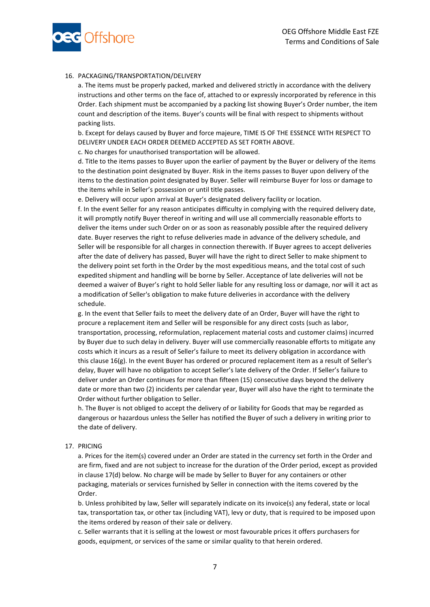

## 16. PACKAGING/TRANSPORTATION/DELIVERY

a. The items must be properly packed, marked and delivered strictly in accordance with the delivery instructions and other terms on the face of, attached to or expressly incorporated by reference in this Order. Each shipment must be accompanied by a packing list showing Buyer's Order number, the item count and description of the items. Buyer's counts will be final with respect to shipments without packing lists.

b. Except for delays caused by Buyer and force majeure, TIME IS OF THE ESSENCE WITH RESPECT TO DELIVERY UNDER EACH ORDER DEEMED ACCEPTED AS SET FORTH ABOVE.

c. No charges for unauthorised transportation will be allowed.

d. Title to the items passes to Buyer upon the earlier of payment by the Buyer or delivery of the items to the destination point designated by Buyer. Risk in the items passes to Buyer upon delivery of the items to the destination point designated by Buyer. Seller will reimburse Buyer for loss or damage to the items while in Seller's possession or until title passes.

e. Delivery will occur upon arrival at Buyer's designated delivery facility or location.

f. In the event Seller for any reason anticipates difficulty in complying with the required delivery date, it will promptly notify Buyer thereof in writing and will use all commercially reasonable efforts to deliver the items under such Order on or as soon as reasonably possible after the required delivery date. Buyer reserves the right to refuse deliveries made in advance of the delivery schedule, and Seller will be responsible for all charges in connection therewith. If Buyer agrees to accept deliveries after the date of delivery has passed, Buyer will have the right to direct Seller to make shipment to the delivery point set forth in the Order by the most expeditious means, and the total cost of such expedited shipment and handling will be borne by Seller. Acceptance of late deliveries will not be deemed a waiver of Buyer's right to hold Seller liable for any resulting loss or damage, nor will it act as a modification of Seller's obligation to make future deliveries in accordance with the delivery schedule.

g. In the event that Seller fails to meet the delivery date of an Order, Buyer will have the right to procure a replacement item and Seller will be responsible for any direct costs (such as labor, transportation, processing, reformulation, replacement material costs and customer claims) incurred by Buyer due to such delay in delivery. Buyer will use commercially reasonable efforts to mitigate any costs which it incurs as a result of Seller's failure to meet its delivery obligation in accordance with this clause 16(g). In the event Buyer has ordered or procured replacement item as a result of Seller's delay, Buyer will have no obligation to accept Seller's late delivery of the Order. If Seller's failure to deliver under an Order continues for more than fifteen (15) consecutive days beyond the delivery date or more than two (2) incidents per calendar year, Buyer will also have the right to terminate the Order without further obligation to Seller.

h. The Buyer is not obliged to accept the delivery of or liability for Goods that may be regarded as dangerous or hazardous unless the Seller has notified the Buyer of such a delivery in writing prior to the date of delivery.

## 17. PRICING

a. Prices for the item(s) covered under an Order are stated in the currency set forth in the Order and are firm, fixed and are not subject to increase for the duration of the Order period, except as provided in clause 17(d) below. No charge will be made by Seller to Buyer for any containers or other packaging, materials or services furnished by Seller in connection with the items covered by the Order.

b. Unless prohibited by law, Seller will separately indicate on its invoice(s) any federal, state or local tax, transportation tax, or other tax (including VAT), levy or duty, that is required to be imposed upon the items ordered by reason of their sale or delivery.

c. Seller warrants that it is selling at the lowest or most favourable prices it offers purchasers for goods, equipment, or services of the same or similar quality to that herein ordered.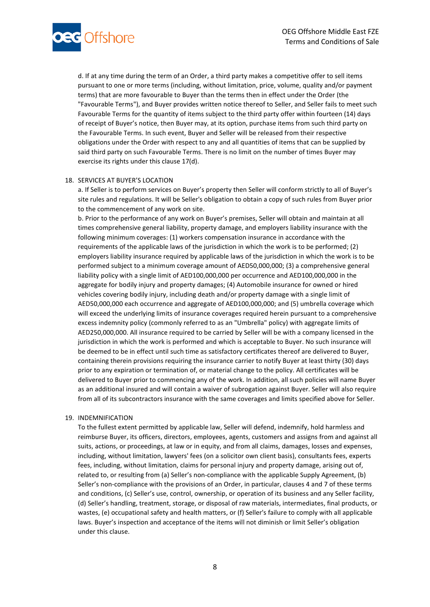

d. If at any time during the term of an Order, a third party makes a competitive offer to sell items pursuant to one or more terms (including, without limitation, price, volume, quality and/or payment terms) that are more favourable to Buyer than the terms then in effect under the Order (the "Favourable Terms"), and Buyer provides written notice thereof to Seller, and Seller fails to meet such Favourable Terms for the quantity of items subject to the third party offer within fourteen (14) days of receipt of Buyer's notice, then Buyer may, at its option, purchase items from such third party on the Favourable Terms. In such event, Buyer and Seller will be released from their respective obligations under the Order with respect to any and all quantities of items that can be supplied by said third party on such Favourable Terms. There is no limit on the number of times Buyer may exercise its rights under this clause 17(d).

#### 18. SERVICES AT BUYER'S LOCATION

a. If Seller is to perform services on Buyer's property then Seller will conform strictly to all of Buyer's site rules and regulations. It will be Seller's obligation to obtain a copy of such rules from Buyer prior to the commencement of any work on site.

b. Prior to the performance of any work on Buyer's premises, Seller will obtain and maintain at all times comprehensive general liability, property damage, and employers liability insurance with the following minimum coverages: (1) workers compensation insurance in accordance with the requirements of the applicable laws of the jurisdiction in which the work is to be performed; (2) employers liability insurance required by applicable laws of the jurisdiction in which the work is to be performed subject to a minimum coverage amount of AED50,000,000; (3) a comprehensive general liability policy with a single limit of AED100,000,000 per occurrence and AED100,000,000 in the aggregate for bodily injury and property damages; (4) Automobile insurance for owned or hired vehicles covering bodily injury, including death and/or property damage with a single limit of AED50,000,000 each occurrence and aggregate of AED100,000,000; and (5) umbrella coverage which will exceed the underlying limits of insurance coverages required herein pursuant to a comprehensive excess indemnity policy (commonly referred to as an "Umbrella" policy) with aggregate limits of AED250,000,000. All insurance required to be carried by Seller will be with a company licensed in the jurisdiction in which the work is performed and which is acceptable to Buyer. No such insurance will be deemed to be in effect until such time as satisfactory certificates thereof are delivered to Buyer, containing therein provisions requiring the insurance carrier to notify Buyer at least thirty (30) days prior to any expiration or termination of, or material change to the policy. All certificates will be delivered to Buyer prior to commencing any of the work. In addition, all such policies will name Buyer as an additional insured and will contain a waiver of subrogation against Buyer. Seller will also require from all of its subcontractors insurance with the same coverages and limits specified above for Seller.

#### 19. INDEMNIFICATION

To the fullest extent permitted by applicable law, Seller will defend, indemnify, hold harmless and reimburse Buyer, its officers, directors, employees, agents, customers and assigns from and against all suits, actions, or proceedings, at law or in equity, and from all claims, damages, losses and expenses, including, without limitation, lawyers' fees (on a solicitor own client basis), consultants fees, experts fees, including, without limitation, claims for personal injury and property damage, arising out of, related to, or resulting from (a) Seller's non-compliance with the applicable Supply Agreement, (b) Seller's non-compliance with the provisions of an Order, in particular, clauses 4 and 7 of these terms and conditions, (c) Seller's use, control, ownership, or operation of its business and any Seller facility, (d) Seller's handling, treatment, storage, or disposal of raw materials, intermediates, final products, or wastes, (e) occupational safety and health matters, or (f) Seller's failure to comply with all applicable laws. Buyer's inspection and acceptance of the items will not diminish or limit Seller's obligation under this clause.